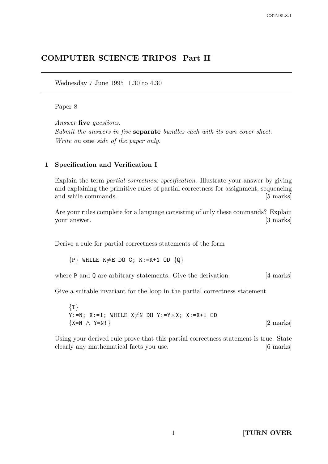# COMPUTER SCIENCE TRIPOS Part II

Wednesday 7 June 1995 1.30 to 4.30

#### Paper 8

Answer five questions. Submit the answers in five **separate** bundles each with its own cover sheet. Write on **one** side of the paper only.

#### 1 Specification and Verification I

Explain the term partial correctness specification. Illustrate your answer by giving and explaining the primitive rules of partial correctness for assignment, sequencing and while commands.  $\qquad \qquad$  [5 marks]

Are your rules complete for a language consisting of only these commands? Explain your answer. [3 marks]

Derive a rule for partial correctness statements of the form

 ${P}$  WHILE K $\neq$ E DO C; K:=K+1 OD  ${Q}$ 

where **P** and **Q** are arbitrary statements. Give the derivation. [4 marks]

Give a suitable invariant for the loop in the partial correctness statement

 $\{T\}$ Y:=N; X:=1; WHILE  $X \neq N$  DO Y:=Y $\times X$ ; X:=X+1 OD  ${X=N \wedge Y=N!}$  [2 marks]

Using your derived rule prove that this partial correctness statement is true. State clearly any mathematical facts you use. [6 marks]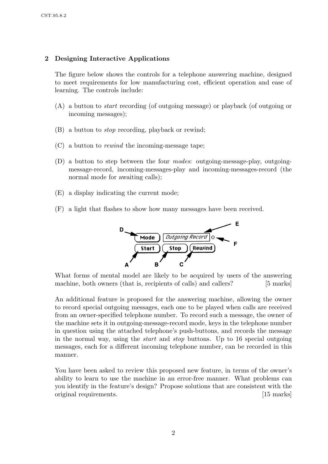## 2 Designing Interactive Applications

The figure below shows the controls for a telephone answering machine, designed to meet requirements for low manufacturing cost, efficient operation and ease of learning. The controls include:

- (A) a button to start recording (of outgoing message) or playback (of outgoing or incoming messages);
- (B) a button to stop recording, playback or rewind;
- (C) a button to rewind the incoming-message tape;
- (D) a button to step between the four modes: outgoing-message-play, outgoingmessage-record, incoming-messages-play and incoming-messages-record (the normal mode for awaiting calls);
- (E) a display indicating the current mode;
- (F) a light that flashes to show how many messages have been received.



What forms of mental model are likely to be acquired by users of the answering machine, both owners (that is, recipients of calls) and callers? [5 marks]

An additional feature is proposed for the answering machine, allowing the owner to record special outgoing messages, each one to be played when calls are received from an owner-specified telephone number. To record such a message, the owner of the machine sets it in outgoing-message-record mode, keys in the telephone number in question using the attached telephone's push-buttons, and records the message in the normal way, using the start and stop buttons. Up to 16 special outgoing messages, each for a different incoming telephone number, can be recorded in this manner.

You have been asked to review this proposed new feature, in terms of the owner's ability to learn to use the machine in an error-free manner. What problems can you identify in the feature's design? Propose solutions that are consistent with the original requirements. [15 marks]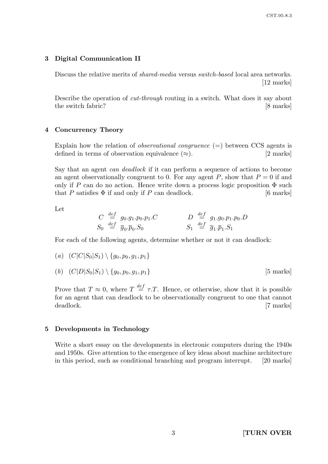#### 3 Digital Communication II

Discuss the relative merits of shared-media versus switch-based local area networks. [12 marks]

Describe the operation of cut-through routing in a switch. What does it say about the switch fabric? [8 marks]

#### 4 Concurrency Theory

Explain how the relation of *observational congruence*  $(=)$  between CCS agents is defined in terms of observation equivalence  $(\approx)$ . [2 marks]

Say that an agent can deadlock if it can perform a sequence of actions to become an agent observationally congruent to 0. For any agent  $P$ , show that  $P = 0$  if and only if P can do no action. Hence write down a process logic proposition  $\Phi$  such that P satisfies  $\Phi$  if and only if P can deadlock. [6 marks]

Let

$$
C \stackrel{def}{=} g_0.g_1.p_0.p_1.C
$$
  
\n
$$
S_0 \stackrel{def}{=} \overline{g}_0.\overline{p}_0.S_0
$$
  
\n
$$
D \stackrel{def}{=} g_1.g_0.p_1.p_0.D
$$
  
\n
$$
S_1 \stackrel{def}{=} \overline{g}_1.\overline{p}_1.S_1
$$

For each of the following agents, determine whether or not it can deadlock:

(a) 
$$
(C|C|S_0|S_1) \setminus \{g_0, p_0, g_1, p_1\}
$$

(b)  $(C|D|S_0|S_1) \setminus \{g_0, p_0, g_1, p_1\}$  [5 marks]

Prove that  $T \approx 0$ , where  $T \stackrel{def}{=} \tau \cdot T$ . Hence, or otherwise, show that it is possible for an agent that can deadlock to be observationally congruent to one that cannot deadlock. [7 marks]

#### 5 Developments in Technology

Write a short essay on the developments in electronic computers during the 1940s and 1950s. Give attention to the emergence of key ideas about machine architecture in this period, such as conditional branching and program interrupt. [20 marks]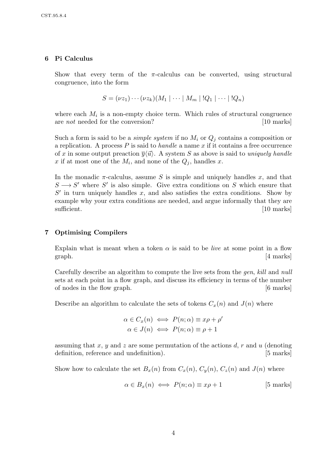## 6 Pi Calculus

Show that every term of the  $\pi$ -calculus can be converted, using structural congruence, into the form

$$
S = (\nu z_1) \cdots (\nu z_k) (M_1 \mid \cdots \mid M_m \mid !Q_1 \mid \cdots \mid !Q_n)
$$

where each  $M_i$  is a non-empty choice term. Which rules of structural congruence are *not* needed for the conversion? [10 marks]

Such a form is said to be a *simple system* if no  $M_i$  or  $Q_i$  contains a composition or a replication. A process  $P$  is said to *handle* a name  $x$  if it contains a free occurrence of x in some output preaction  $\overline{y}\langle \overrightarrow{u}\rangle$ . A system S as above is said to uniquely handle x if at most one of the  $M_i$ , and none of the  $Q_j$ , handles x.

In the monadic  $\pi$ -calculus, assume S is simple and uniquely handles x, and that  $S \longrightarrow S'$  where S' is also simple. Give extra conditions on S which ensure that  $S'$  in turn uniquely handles x, and also satisfies the extra conditions. Show by example why your extra conditions are needed, and argue informally that they are sufficient. [10 marks]

## 7 Optimising Compilers

Explain what is meant when a token  $\alpha$  is said to be *live* at some point in a flow graph. [4 marks]

Carefully describe an algorithm to compute the live sets from the gen, kill and null sets at each point in a flow graph, and discuss its efficiency in terms of the number of nodes in the flow graph. [6 marks]

Describe an algorithm to calculate the sets of tokens  $C_x(n)$  and  $J(n)$  where

$$
\alpha \in C_x(n) \iff P(n; \alpha) \equiv x\rho + \rho'
$$
  

$$
\alpha \in J(n) \iff P(n; \alpha) \equiv \rho + 1
$$

assuming that x, y and z are some permutation of the actions  $d, r$  and  $u$  (denoting definition, reference and undefinition). [5 marks]

Show how to calculate the set  $B_x(n)$  from  $C_x(n)$ ,  $C_y(n)$ ,  $C_z(n)$  and  $J(n)$  where

$$
\alpha \in B_x(n) \iff P(n; \alpha) \equiv x\rho + 1 \tag{5 marks}
$$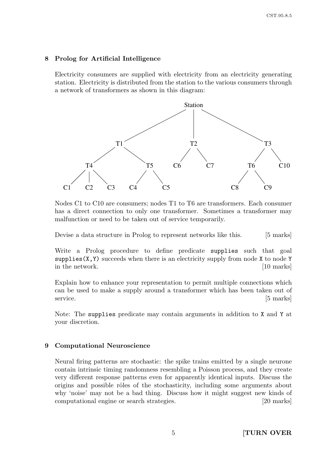#### 8 Prolog for Artificial Intelligence

Electricity consumers are supplied with electricity from an electricity generating station. Electricity is distributed from the station to the various consumers through a network of transformers as shown in this diagram:



Nodes C1 to C10 are consumers; nodes T1 to T6 are transformers. Each consumer has a direct connection to only one transformer. Sometimes a transformer may malfunction or need to be taken out of service temporarily.

Devise a data structure in Prolog to represent networks like this. [5 marks]

Write a Prolog procedure to define predicate supplies such that goal supplies  $(X, Y)$  succeeds when there is an electricity supply from node X to node Y in the network. [10 marks]

Explain how to enhance your representation to permit multiple connections which can be used to make a supply around a transformer which has been taken out of service. [5 marks]

Note: The supplies predicate may contain arguments in addition to X and Y at your discretion.

#### 9 Computational Neuroscience

Neural firing patterns are stochastic: the spike trains emitted by a single neurone contain intrinsic timing randomness resembling a Poisson process, and they create very different response patterns even for apparently identical inputs. Discuss the origins and possible rôles of the stochasticity, including some arguments about why 'noise' may not be a bad thing. Discuss how it might suggest new kinds of computational engine or search strategies. [20 marks]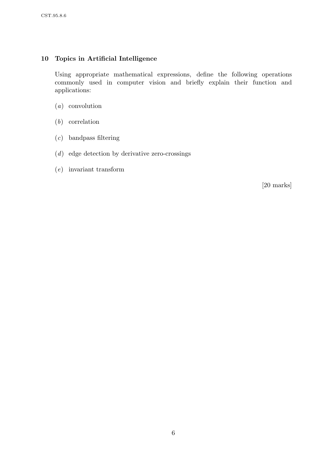# 10 Topics in Artificial Intelligence

Using appropriate mathematical expressions, define the following operations commonly used in computer vision and briefly explain their function and applications:

- (a) convolution
- (b) correlation
- (c) bandpass filtering
- (d) edge detection by derivative zero-crossings
- (e) invariant transform

[20 marks]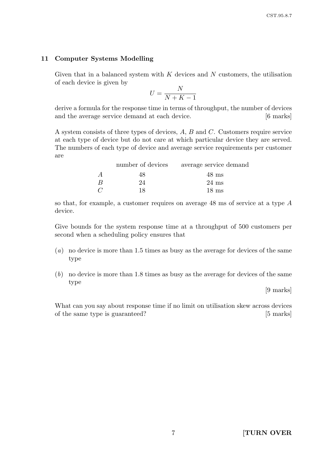#### 11 Computer Systems Modelling

Given that in a balanced system with  $K$  devices and  $N$  customers, the utilisation of each device is given by

$$
U = \frac{N}{N + K - 1}
$$

derive a formula for the response time in terms of throughput, the number of devices and the average service demand at each device. [6 marks]

A system consists of three types of devices, A, B and C. Customers require service at each type of device but do not care at which particular device they are served. The numbers of each type of device and average service requirements per customer are

|                | number of devices | average service demand |
|----------------|-------------------|------------------------|
| $\overline{A}$ | 48                | $48 \text{ ms}$        |
| B              | 24                | $24 \text{ ms}$        |
| $\mathcal{C}$  | 18                | $18 \text{ ms}$        |

so that, for example, a customer requires on average 48 ms of service at a type A device.

Give bounds for the system response time at a throughput of 500 customers per second when a scheduling policy ensures that

- (a) no device is more than 1.5 times as busy as the average for devices of the same type
- (b) no device is more than 1.8 times as busy as the average for devices of the same type

[9 marks]

What can you say about response time if no limit on utilisation skew across devices of the same type is guaranteed? [5 marks]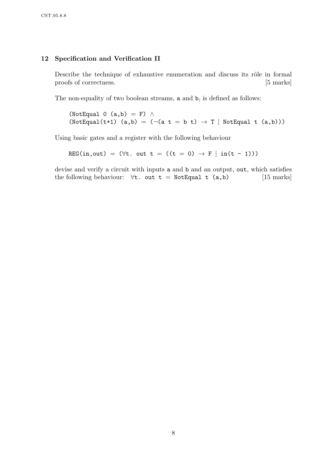## 12 Specification and Verification II

Describe the technique of exhaustive enumeration and discuss its rôle in formal proofs of correctness. [5 marks]

The non-equality of two boolean streams, a and b, is defined as follows:

(NotEqual 0 (a,b) = F)  $\land$ (NotEqual(t+1) (a,b) =  $(\neg(a \ t = b \ t) \rightarrow T \mid NotEqual \ t (a,b)))$ 

Using basic gates and a register with the following behaviour

REG(in, out) = ( $\forall$ t. out t = ((t = 0)  $\rightarrow$  F | in(t - 1)))

devise and verify a circuit with inputs a and b and an output, out, which satisfies the following behaviour:  $\forall$ t. out t = NotEqual t (a,b) [15 marks]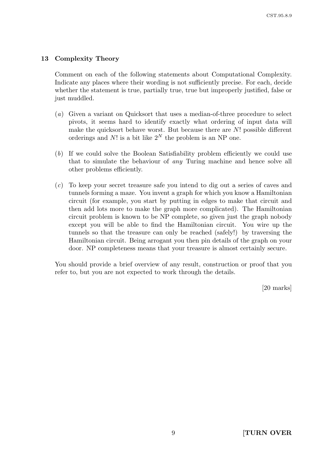## 13 Complexity Theory

Comment on each of the following statements about Computational Complexity. Indicate any places where their wording is not sufficiently precise. For each, decide whether the statement is true, partially true, true but improperly justified, false or just muddled.

- (a) Given a variant on Quicksort that uses a median-of-three procedure to select pivots, it seems hard to identify exactly what ordering of input data will make the quicksort behave worst. But because there are  $N!$  possible different orderings and N! is a bit like  $2^N$  the problem is an NP one.
- (b) If we could solve the Boolean Satisfiability problem efficiently we could use that to simulate the behaviour of any Turing machine and hence solve all other problems efficiently.
- (c) To keep your secret treasure safe you intend to dig out a series of caves and tunnels forming a maze. You invent a graph for which you know a Hamiltonian circuit (for example, you start by putting in edges to make that circuit and then add lots more to make the graph more complicated). The Hamiltonian circuit problem is known to be NP complete, so given just the graph nobody except you will be able to find the Hamiltonian circuit. You wire up the tunnels so that the treasure can only be reached (safely!) by traversing the Hamiltonian circuit. Being arrogant you then pin details of the graph on your door. NP completeness means that your treasure is almost certainly secure.

You should provide a brief overview of any result, construction or proof that you refer to, but you are not expected to work through the details.

[20 marks]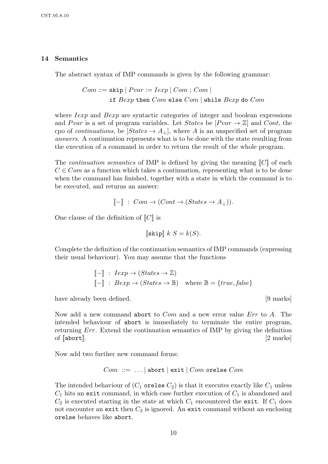#### 14 Semantics

The abstract syntax of IMP commands is given by the following grammar:

 $Com ::=$  skip  $| \; Pvar := Iexp | \; Com ; Com |$ if  $Bexp$  then  $Com$  else  $Com$  | while  $Bexp$  do  $Com$ 

where *Iexp* and *Bexp* are syntactic categories of integer and boolean expressions and Pvar is a set of program variables. Let States be  $[Pvar \rightarrow \mathbb{Z}]$  and Cont, the cpo of *continuations*, be  $[States \rightarrow A_{\perp}]$ , where A is an unspecified set of program answers. A continuation represents what is to be done with the state resulting from the execution of a command in order to return the result of the whole program.

The *continuation semantics* of IMP is defined by giving the meaning  $\llbracket C \rrbracket$  of each  $C \in Com$  as a function which takes a continuation, representing what is to be done when the command has finished, together with a state in which the command is to be executed, and returns an answer:

$$
[\![-]\!]
$$
:  $Com \rightarrow (Cont \rightarrow (States \rightarrow A_{\perp})).$ 

One clause of the definition of  $\llbracket C \rrbracket$  is

$$
\llbracket \texttt{skip} \rrbracket \ k \ S = k(S).
$$

Complete the definition of the continuation semantics of IMP commands (expressing their usual behaviour). You may assume that the functions

$$
\begin{aligned}\n\llbracket - \rrbracket & \colon \text{ } \text{I} \exp \to (\text{States} \to \mathbb{Z}) \\
\llbracket - \rrbracket & \colon \text{ } \text{B} \exp \to (\text{States} \to \mathbb{B}) \quad \text{where } \mathbb{B} = \{\text{true}, \text{false}\}\n\end{aligned}
$$

have already been defined.  $[9 \text{ marks}]$ 

Now add a new command abort to *Com* and a new error value *Err* to A. The intended behaviour of abort is immediately to terminate the entire program, returning Err. Extend the continuation semantics of IMP by giving the definition of  $\lceil \text{abort} \rceil$ .  $\lceil 2 \text{ marks} \rceil$ 

Now add two further new command forms:

$$
Com ::= ... | abort | exit | Com or else Com
$$

The intended behaviour of  $(C_1$  orelse  $C_2$ ) is that it executes exactly like  $C_1$  unless  $C_1$  hits an exit command, in which case further execution of  $C_1$  is abandoned and  $C_2$  is executed starting in the state at which  $C_1$  encountered the exit. If  $C_1$  does not encounter an exit then  $C_2$  is ignored. An exit command without an enclosing orelse behaves like abort.